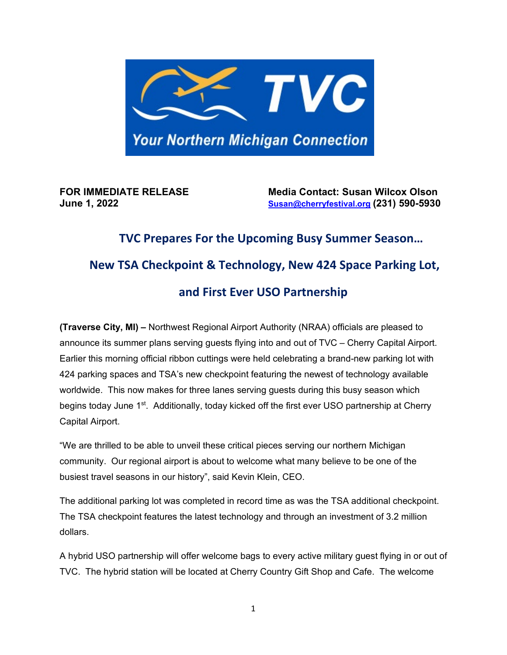

**FOR IMMEDIATE RELEASE Media Contact: Susan Wilcox Olson June 1, 2022 [Susan@cherryfestival.org](mailto:Susan@cherryfestival.org) (231) 590-5930** 

## **TVC Prepares For the Upcoming Busy Summer Season… New TSA Checkpoint & Technology, New 424 Space Parking Lot, and First Ever USO Partnership**

**(Traverse City, MI) –** Northwest Regional Airport Authority (NRAA) officials are pleased to announce its summer plans serving guests flying into and out of TVC – Cherry Capital Airport. Earlier this morning official ribbon cuttings were held celebrating a brand-new parking lot with 424 parking spaces and TSA's new checkpoint featuring the newest of technology available worldwide. This now makes for three lanes serving guests during this busy season which begins today June 1<sup>st</sup>. Additionally, today kicked off the first ever USO partnership at Cherry Capital Airport.

"We are thrilled to be able to unveil these critical pieces serving our northern Michigan community. Our regional airport is about to welcome what many believe to be one of the busiest travel seasons in our history", said Kevin Klein, CEO.

The additional parking lot was completed in record time as was the TSA additional checkpoint. The TSA checkpoint features the latest technology and through an investment of 3.2 million dollars.

A hybrid USO partnership will offer welcome bags to every active military guest flying in or out of TVC. The hybrid station will be located at Cherry Country Gift Shop and Cafe. The welcome